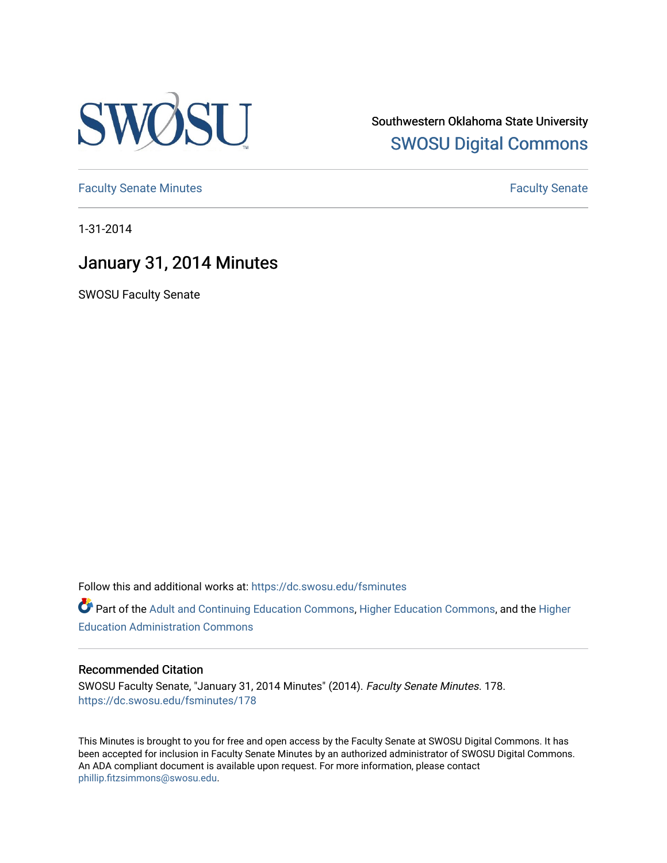

Southwestern Oklahoma State University [SWOSU Digital Commons](https://dc.swosu.edu/) 

[Faculty Senate Minutes](https://dc.swosu.edu/fsminutes) **Faculty** Senate Minutes

1-31-2014

# January 31, 2014 Minutes

SWOSU Faculty Senate

Follow this and additional works at: [https://dc.swosu.edu/fsminutes](https://dc.swosu.edu/fsminutes?utm_source=dc.swosu.edu%2Ffsminutes%2F178&utm_medium=PDF&utm_campaign=PDFCoverPages) 

Part of the [Adult and Continuing Education Commons,](http://network.bepress.com/hgg/discipline/1375?utm_source=dc.swosu.edu%2Ffsminutes%2F178&utm_medium=PDF&utm_campaign=PDFCoverPages) [Higher Education Commons,](http://network.bepress.com/hgg/discipline/1245?utm_source=dc.swosu.edu%2Ffsminutes%2F178&utm_medium=PDF&utm_campaign=PDFCoverPages) and the [Higher](http://network.bepress.com/hgg/discipline/791?utm_source=dc.swosu.edu%2Ffsminutes%2F178&utm_medium=PDF&utm_campaign=PDFCoverPages) [Education Administration Commons](http://network.bepress.com/hgg/discipline/791?utm_source=dc.swosu.edu%2Ffsminutes%2F178&utm_medium=PDF&utm_campaign=PDFCoverPages) 

#### Recommended Citation

SWOSU Faculty Senate, "January 31, 2014 Minutes" (2014). Faculty Senate Minutes. 178. [https://dc.swosu.edu/fsminutes/178](https://dc.swosu.edu/fsminutes/178?utm_source=dc.swosu.edu%2Ffsminutes%2F178&utm_medium=PDF&utm_campaign=PDFCoverPages) 

This Minutes is brought to you for free and open access by the Faculty Senate at SWOSU Digital Commons. It has been accepted for inclusion in Faculty Senate Minutes by an authorized administrator of SWOSU Digital Commons. An ADA compliant document is available upon request. For more information, please contact [phillip.fitzsimmons@swosu.edu](mailto:phillip.fitzsimmons@swosu.edu).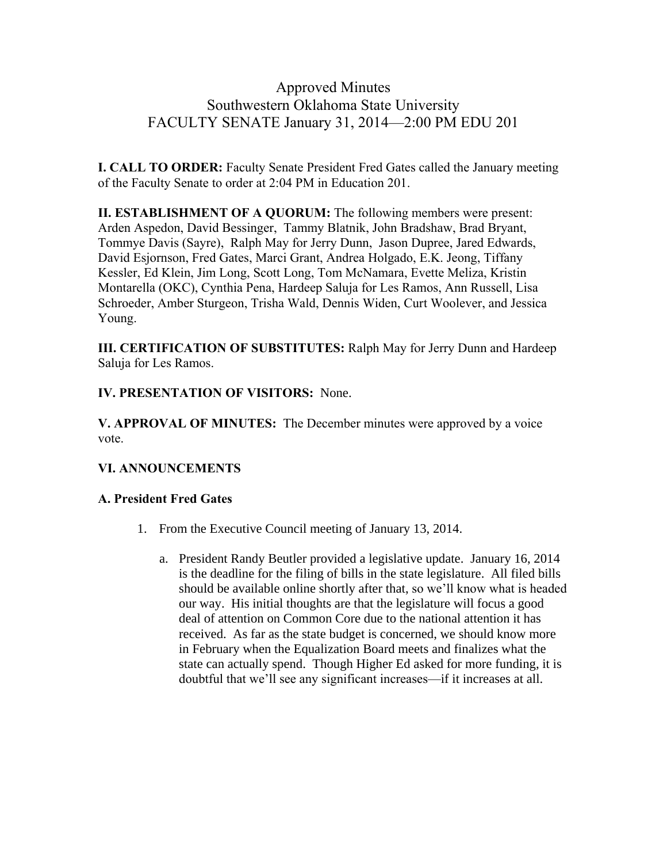### Approved Minutes Southwestern Oklahoma State University FACULTY SENATE January 31, 2014—2:00 PM EDU 201

**I. CALL TO ORDER:** Faculty Senate President Fred Gates called the January meeting of the Faculty Senate to order at 2:04 PM in Education 201.

**II. ESTABLISHMENT OF A QUORUM:** The following members were present: Arden Aspedon, David Bessinger, Tammy Blatnik, John Bradshaw, Brad Bryant, Tommye Davis (Sayre), Ralph May for Jerry Dunn, Jason Dupree, Jared Edwards, David Esjornson, Fred Gates, Marci Grant, Andrea Holgado, E.K. Jeong, Tiffany Kessler, Ed Klein, Jim Long, Scott Long, Tom McNamara, Evette Meliza, Kristin Montarella (OKC), Cynthia Pena, Hardeep Saluja for Les Ramos, Ann Russell, Lisa Schroeder, Amber Sturgeon, Trisha Wald, Dennis Widen, Curt Woolever, and Jessica Young.

**III. CERTIFICATION OF SUBSTITUTES:** Ralph May for Jerry Dunn and Hardeep Saluja for Les Ramos.

**IV. PRESENTATION OF VISITORS:** None.

**V. APPROVAL OF MINUTES:** The December minutes were approved by a voice vote.

### **VI. ANNOUNCEMENTS**

#### **A. President Fred Gates**

- 1. From the Executive Council meeting of January 13, 2014.
	- a. President Randy Beutler provided a legislative update. January 16, 2014 is the deadline for the filing of bills in the state legislature. All filed bills should be available online shortly after that, so we'll know what is headed our way. His initial thoughts are that the legislature will focus a good deal of attention on Common Core due to the national attention it has received. As far as the state budget is concerned, we should know more in February when the Equalization Board meets and finalizes what the state can actually spend. Though Higher Ed asked for more funding, it is doubtful that we'll see any significant increases—if it increases at all.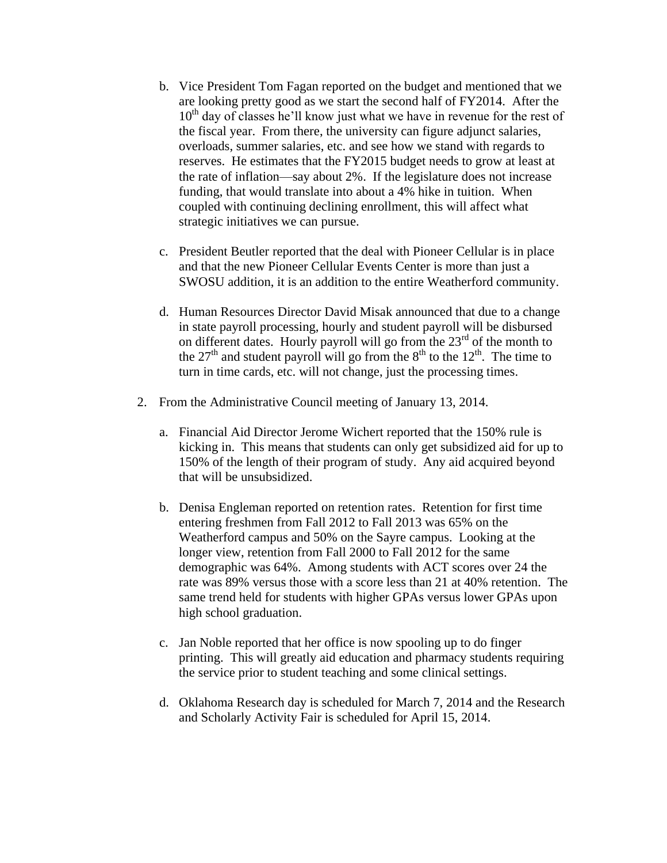- b. Vice President Tom Fagan reported on the budget and mentioned that we are looking pretty good as we start the second half of FY2014. After the  $10<sup>th</sup>$  day of classes he'll know just what we have in revenue for the rest of the fiscal year. From there, the university can figure adjunct salaries, overloads, summer salaries, etc. and see how we stand with regards to reserves. He estimates that the FY2015 budget needs to grow at least at the rate of inflation—say about 2%. If the legislature does not increase funding, that would translate into about a 4% hike in tuition. When coupled with continuing declining enrollment, this will affect what strategic initiatives we can pursue.
- c. President Beutler reported that the deal with Pioneer Cellular is in place and that the new Pioneer Cellular Events Center is more than just a SWOSU addition, it is an addition to the entire Weatherford community.
- d. Human Resources Director David Misak announced that due to a change in state payroll processing, hourly and student payroll will be disbursed on different dates. Hourly payroll will go from the  $23<sup>rd</sup>$  of the month to the  $27<sup>th</sup>$  and student payroll will go from the  $8<sup>th</sup>$  to the  $12<sup>th</sup>$ . The time to turn in time cards, etc. will not change, just the processing times.
- 2. From the Administrative Council meeting of January 13, 2014.
	- a. Financial Aid Director Jerome Wichert reported that the 150% rule is kicking in. This means that students can only get subsidized aid for up to 150% of the length of their program of study. Any aid acquired beyond that will be unsubsidized.
	- b. Denisa Engleman reported on retention rates. Retention for first time entering freshmen from Fall 2012 to Fall 2013 was 65% on the Weatherford campus and 50% on the Sayre campus. Looking at the longer view, retention from Fall 2000 to Fall 2012 for the same demographic was 64%. Among students with ACT scores over 24 the rate was 89% versus those with a score less than 21 at 40% retention. The same trend held for students with higher GPAs versus lower GPAs upon high school graduation.
	- c. Jan Noble reported that her office is now spooling up to do finger printing. This will greatly aid education and pharmacy students requiring the service prior to student teaching and some clinical settings.
	- d. Oklahoma Research day is scheduled for March 7, 2014 and the Research and Scholarly Activity Fair is scheduled for April 15, 2014.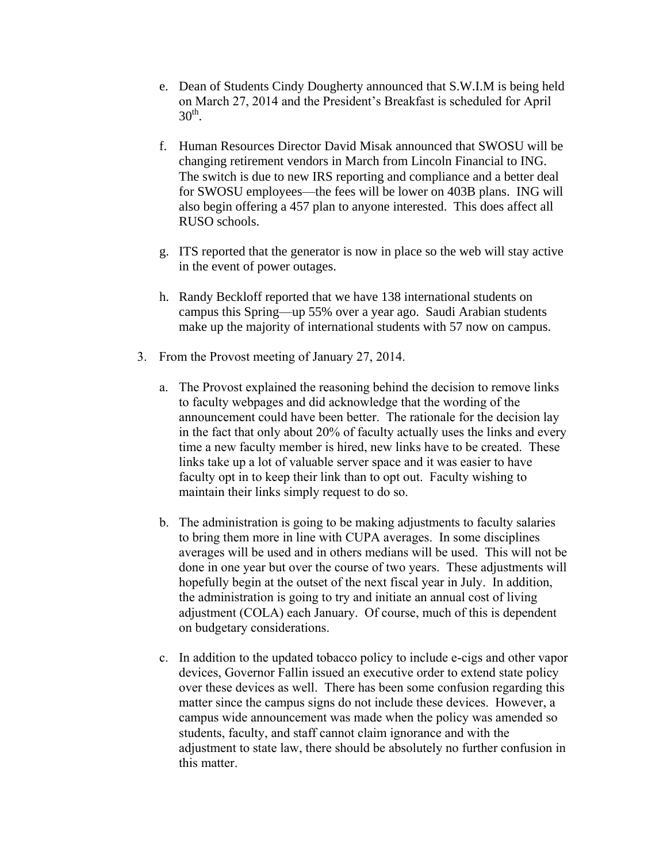- e. Dean of Students Cindy Dougherty announced that S.W.I.M is being held on March 27, 2014 and the President's Breakfast is scheduled for April  $30<sup>th</sup>$ .
- f. Human Resources Director David Misak announced that SWOSU will be changing retirement vendors in March from Lincoln Financial to ING. The switch is due to new IRS reporting and compliance and a better deal for SWOSU employees—the fees will be lower on 403B plans. ING will also begin offering a 457 plan to anyone interested. This does affect all RUSO schools.
- g. ITS reported that the generator is now in place so the web will stay active in the event of power outages.
- h. Randy Beckloff reported that we have 138 international students on campus this Spring—up 55% over a year ago. Saudi Arabian students make up the majority of international students with 57 now on campus.
- 3. From the Provost meeting of January 27, 2014.
	- a. The Provost explained the reasoning behind the decision to remove links to faculty webpages and did acknowledge that the wording of the announcement could have been better. The rationale for the decision lay in the fact that only about 20% of faculty actually uses the links and every time a new faculty member is hired, new links have to be created. These links take up a lot of valuable server space and it was easier to have faculty opt in to keep their link than to opt out. Faculty wishing to maintain their links simply request to do so.
	- b. The administration is going to be making adjustments to faculty salaries to bring them more in line with CUPA averages. In some disciplines averages will be used and in others medians will be used. This will not be done in one year but over the course of two years. These adjustments will hopefully begin at the outset of the next fiscal year in July. In addition, the administration is going to try and initiate an annual cost of living adjustment (COLA) each January. Of course, much of this is dependent on budgetary considerations.
	- c. In addition to the updated tobacco policy to include e-cigs and other vapor devices, Governor Fallin issued an executive order to extend state policy over these devices as well. There has been some confusion regarding this matter since the campus signs do not include these devices. However, a campus wide announcement was made when the policy was amended so students, faculty, and staff cannot claim ignorance and with the adjustment to state law, there should be absolutely no further confusion in this matter.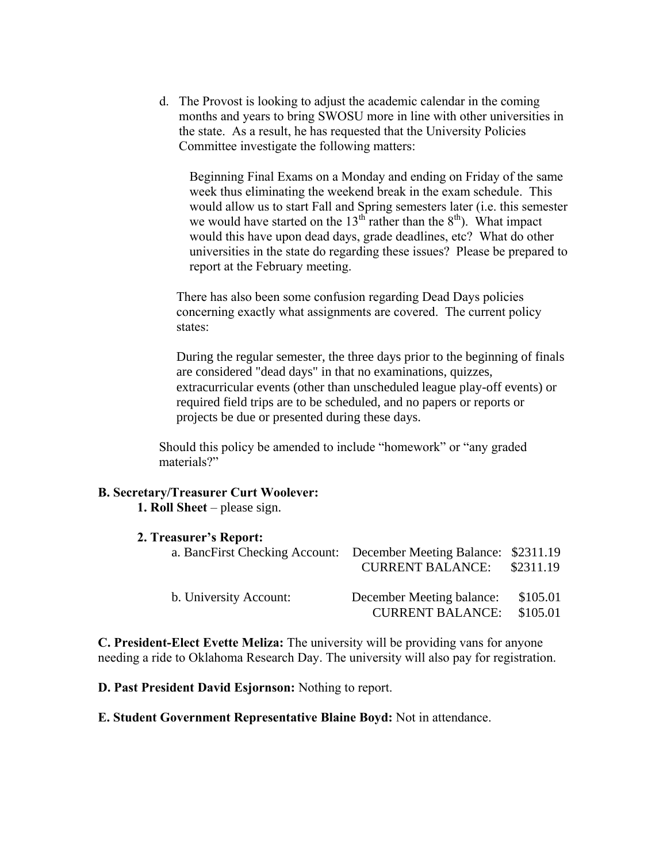d. The Provost is looking to adjust the academic calendar in the coming months and years to bring SWOSU more in line with other universities in the state. As a result, he has requested that the University Policies Committee investigate the following matters:

Beginning Final Exams on a Monday and ending on Friday of the same week thus eliminating the weekend break in the exam schedule. This would allow us to start Fall and Spring semesters later (i.e. this semester we would have started on the  $13<sup>th</sup>$  rather than the  $8<sup>th</sup>$ ). What impact would this have upon dead days, grade deadlines, etc? What do other universities in the state do regarding these issues? Please be prepared to report at the February meeting.

There has also been some confusion regarding Dead Days policies concerning exactly what assignments are covered. The current policy states:

During the regular semester, the three days prior to the beginning of finals are considered "dead days" in that no examinations, quizzes, extracurricular events (other than unscheduled league play-off events) or required field trips are to be scheduled, and no papers or reports or projects be due or presented during these days.

Should this policy be amended to include "homework" or "any graded materials?"

#### **B. Secretary/Treasurer Curt Woolever:**

**1. Roll Sheet** – please sign.

| 2. Treasurer's Report:                                             |                           |           |
|--------------------------------------------------------------------|---------------------------|-----------|
| a. BancFirst Checking Account: December Meeting Balance: \$2311.19 |                           |           |
|                                                                    | <b>CURRENT BALANCE:</b>   | \$2311.19 |
| b. University Account:                                             | December Meeting balance: | \$105.01  |
|                                                                    | <b>CURRENT BALANCE:</b>   | \$105.01  |

**C. President-Elect Evette Meliza:** The university will be providing vans for anyone needing a ride to Oklahoma Research Day. The university will also pay for registration.

**D. Past President David Esjornson:** Nothing to report.

**E. Student Government Representative Blaine Boyd:** Not in attendance.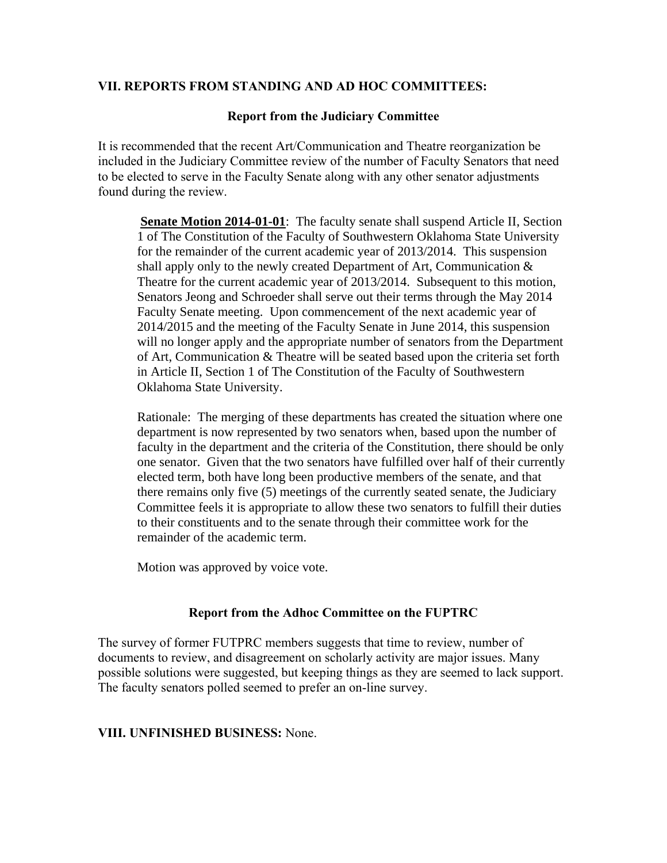#### **VII. REPORTS FROM STANDING AND AD HOC COMMITTEES:**

#### **Report from the Judiciary Committee**

It is recommended that the recent Art/Communication and Theatre reorganization be included in the Judiciary Committee review of the number of Faculty Senators that need to be elected to serve in the Faculty Senate along with any other senator adjustments found during the review.

**Senate Motion 2014-01-01**: The faculty senate shall suspend Article II, Section 1 of The Constitution of the Faculty of Southwestern Oklahoma State University for the remainder of the current academic year of 2013/2014. This suspension shall apply only to the newly created Department of Art, Communication & Theatre for the current academic year of 2013/2014. Subsequent to this motion, Senators Jeong and Schroeder shall serve out their terms through the May 2014 Faculty Senate meeting. Upon commencement of the next academic year of 2014/2015 and the meeting of the Faculty Senate in June 2014, this suspension will no longer apply and the appropriate number of senators from the Department of Art, Communication & Theatre will be seated based upon the criteria set forth in Article II, Section 1 of The Constitution of the Faculty of Southwestern Oklahoma State University.

Rationale: The merging of these departments has created the situation where one department is now represented by two senators when, based upon the number of faculty in the department and the criteria of the Constitution, there should be only one senator. Given that the two senators have fulfilled over half of their currently elected term, both have long been productive members of the senate, and that there remains only five (5) meetings of the currently seated senate, the Judiciary Committee feels it is appropriate to allow these two senators to fulfill their duties to their constituents and to the senate through their committee work for the remainder of the academic term.

Motion was approved by voice vote.

#### **Report from the Adhoc Committee on the FUPTRC**

The survey of former FUTPRC members suggests that time to review, number of documents to review, and disagreement on scholarly activity are major issues. Many possible solutions were suggested, but keeping things as they are seemed to lack support. The faculty senators polled seemed to prefer an on-line survey.

#### **VIII. UNFINISHED BUSINESS:** None.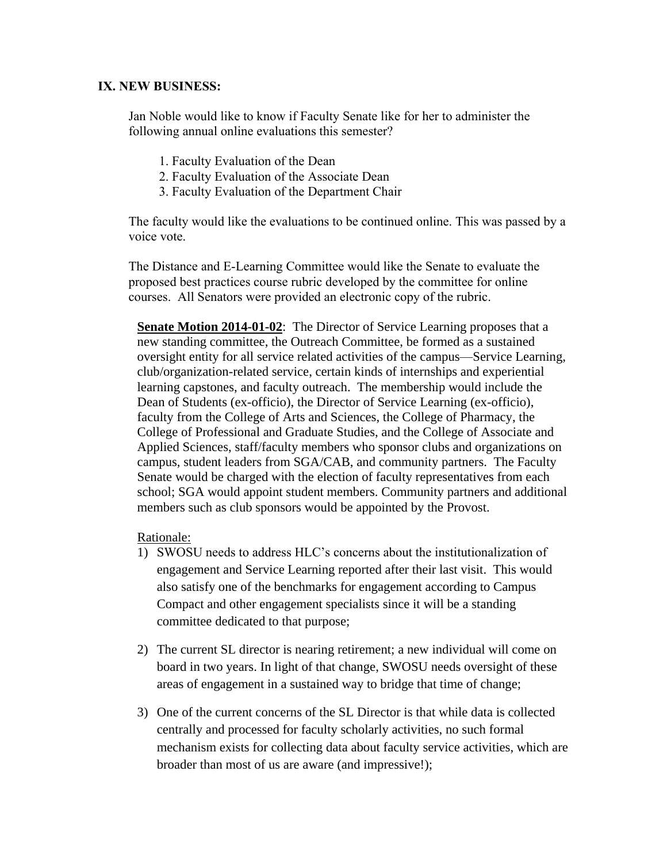#### **IX. NEW BUSINESS:**

Jan Noble would like to know if Faculty Senate like for her to administer the following annual online evaluations this semester?

- 1. Faculty Evaluation of the Dean
- 2. Faculty Evaluation of the Associate Dean
- 3. Faculty Evaluation of the Department Chair

The faculty would like the evaluations to be continued online. This was passed by a voice vote.

The Distance and E-Learning Committee would like the Senate to evaluate the proposed best practices course rubric developed by the committee for online courses. All Senators were provided an electronic copy of the rubric.

**Senate Motion 2014-01-02**: The Director of Service Learning proposes that a new standing committee, the Outreach Committee, be formed as a sustained oversight entity for all service related activities of the campus—Service Learning, club/organization-related service, certain kinds of internships and experiential learning capstones, and faculty outreach. The membership would include the Dean of Students (ex-officio), the Director of Service Learning (ex-officio), faculty from the College of Arts and Sciences, the College of Pharmacy, the College of Professional and Graduate Studies, and the College of Associate and Applied Sciences, staff/faculty members who sponsor clubs and organizations on campus, student leaders from SGA/CAB, and community partners. The Faculty Senate would be charged with the election of faculty representatives from each school; SGA would appoint student members. Community partners and additional members such as club sponsors would be appointed by the Provost.

Rationale:

- 1) SWOSU needs to address HLC's concerns about the institutionalization of engagement and Service Learning reported after their last visit. This would also satisfy one of the benchmarks for engagement according to Campus Compact and other engagement specialists since it will be a standing committee dedicated to that purpose;
- 2) The current SL director is nearing retirement; a new individual will come on board in two years. In light of that change, SWOSU needs oversight of these areas of engagement in a sustained way to bridge that time of change;
- 3) One of the current concerns of the SL Director is that while data is collected centrally and processed for faculty scholarly activities, no such formal mechanism exists for collecting data about faculty service activities, which are broader than most of us are aware (and impressive!);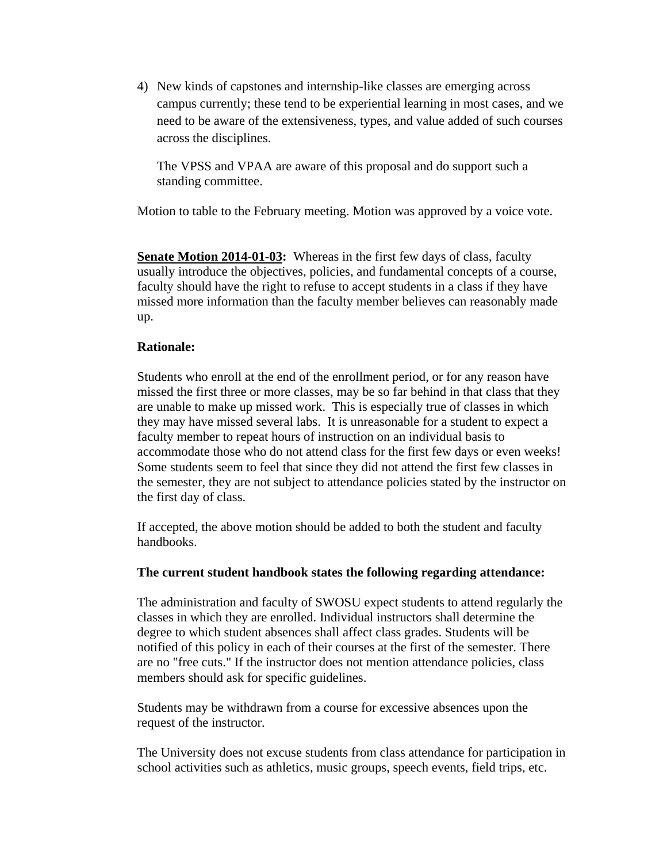4) New kinds of capstones and internship-like classes are emerging across campus currently; these tend to be experiential learning in most cases, and we need to be aware of the extensiveness, types, and value added of such courses across the disciplines.

The VPSS and VPAA are aware of this proposal and do support such a standing committee.

Motion to table to the February meeting. Motion was approved by a voice vote.

**Senate Motion 2014-01-03:** Whereas in the first few days of class, faculty usually introduce the objectives, policies, and fundamental concepts of a course, faculty should have the right to refuse to accept students in a class if they have missed more information than the faculty member believes can reasonably made up.

#### **Rationale:**

Students who enroll at the end of the enrollment period, or for any reason have missed the first three or more classes, may be so far behind in that class that they are unable to make up missed work. This is especially true of classes in which they may have missed several labs. It is unreasonable for a student to expect a faculty member to repeat hours of instruction on an individual basis to accommodate those who do not attend class for the first few days or even weeks! Some students seem to feel that since they did not attend the first few classes in the semester, they are not subject to attendance policies stated by the instructor on the first day of class.

If accepted, the above motion should be added to both the student and faculty handbooks.

#### **The current student handbook states the following regarding attendance:**

The administration and faculty of SWOSU expect students to attend regularly the classes in which they are enrolled. Individual instructors shall determine the degree to which student absences shall affect class grades. Students will be notified of this policy in each of their courses at the first of the semester. There are no "free cuts." If the instructor does not mention attendance policies, class members should ask for specific guidelines.

Students may be withdrawn from a course for excessive absences upon the request of the instructor.

The University does not excuse students from class attendance for participation in school activities such as athletics, music groups, speech events, field trips, etc.